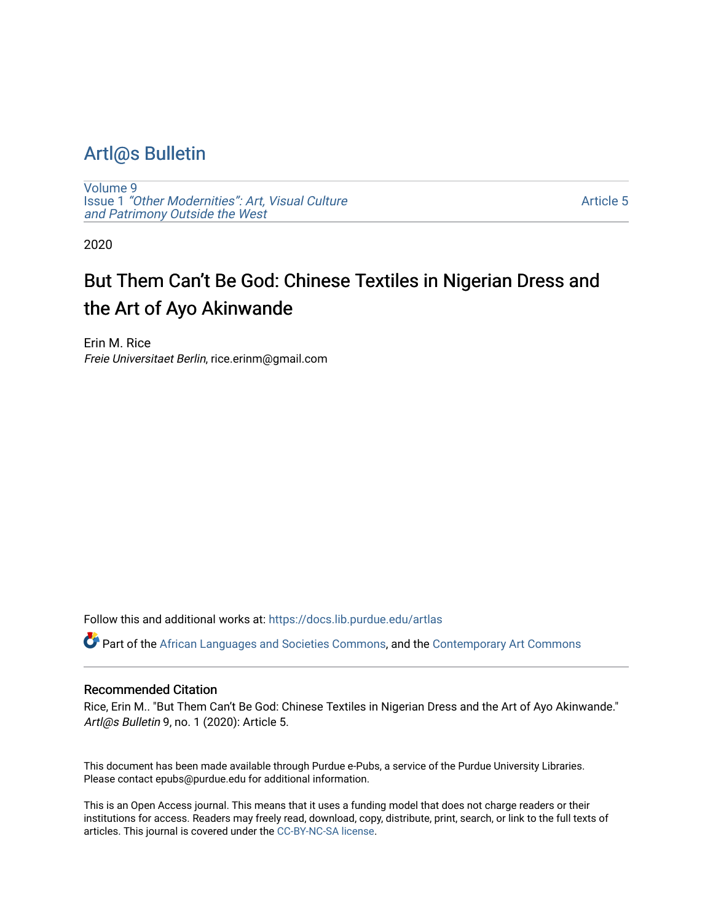### [Artl@s Bulletin](https://docs.lib.purdue.edu/artlas)

[Volume 9](https://docs.lib.purdue.edu/artlas/vol9) Issue 1 ["Other Modernities": Art, Visual Culture](https://docs.lib.purdue.edu/artlas/vol9/iss1) [and Patrimony Outside the West](https://docs.lib.purdue.edu/artlas/vol9/iss1) 

[Article 5](https://docs.lib.purdue.edu/artlas/vol9/iss1/5) 

2020

## But Them Can't Be God: Chinese Textiles in Nigerian Dress and the Art of Ayo Akinwande

Erin M. Rice Freie Universitaet Berlin, rice.erinm@gmail.com

Follow this and additional works at: [https://docs.lib.purdue.edu/artlas](https://docs.lib.purdue.edu/artlas?utm_source=docs.lib.purdue.edu%2Fartlas%2Fvol9%2Fiss1%2F5&utm_medium=PDF&utm_campaign=PDFCoverPages)

Part of the [African Languages and Societies Commons,](http://network.bepress.com/hgg/discipline/476?utm_source=docs.lib.purdue.edu%2Fartlas%2Fvol9%2Fiss1%2F5&utm_medium=PDF&utm_campaign=PDFCoverPages) and the [Contemporary Art Commons](http://network.bepress.com/hgg/discipline/514?utm_source=docs.lib.purdue.edu%2Fartlas%2Fvol9%2Fiss1%2F5&utm_medium=PDF&utm_campaign=PDFCoverPages)

#### Recommended Citation

Rice, Erin M.. "But Them Can't Be God: Chinese Textiles in Nigerian Dress and the Art of Ayo Akinwande." Artl@s Bulletin 9, no. 1 (2020): Article 5.

This document has been made available through Purdue e-Pubs, a service of the Purdue University Libraries. Please contact epubs@purdue.edu for additional information.

This is an Open Access journal. This means that it uses a funding model that does not charge readers or their institutions for access. Readers may freely read, download, copy, distribute, print, search, or link to the full texts of articles. This journal is covered under the [CC-BY-NC-SA license.](https://creativecommons.org/licenses/by-nc-sa/4.0/)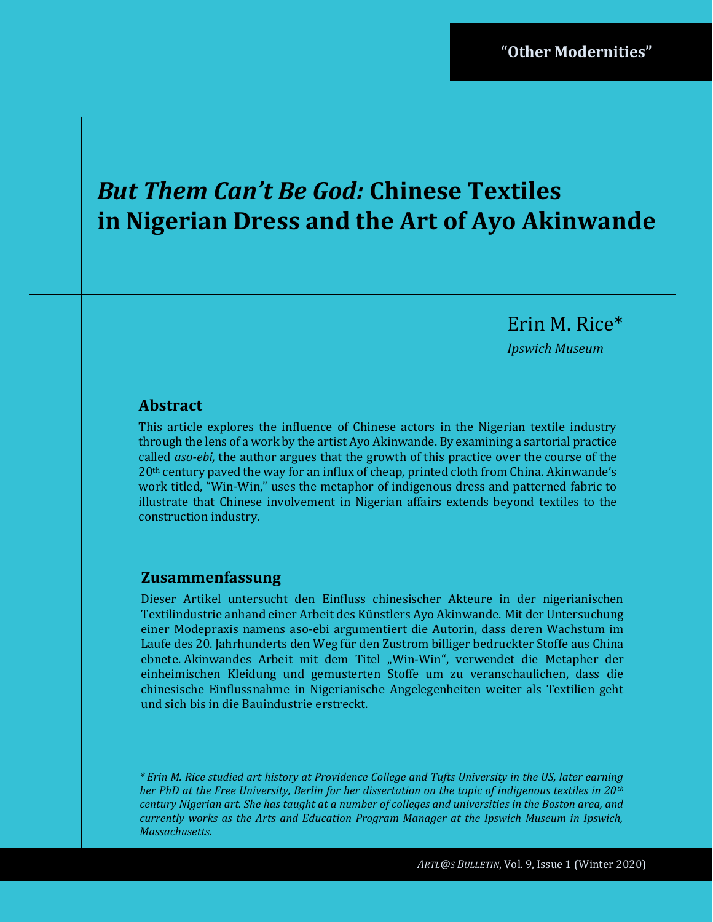# *But Them Can't Be God:* **Chinese Textiles in Nigerian Dress and the Art of Ayo Akinwande**

Erin M. Rice\*

*Ipswich Museum*

#### **Abstract**

This article explores the influence of Chinese actors in the Nigerian textile industry through the lens of a work by the artist Ayo Akinwande. By examining a sartorial practice called *aso-ebi,* the author argues that the growth of this practice over the course of the 20th century paved the way for an influx of cheap, printed cloth from China. Akinwande's work titled, "Win-Win," uses the metaphor of indigenous dress and patterned fabric to illustrate that Chinese involvement in Nigerian affairs extends beyond textiles to the construction industry.

#### **Zusammenfassung**

Dieser Artikel untersucht den Einfluss chinesischer Akteure in der nigerianischen Textilindustrie anhand einer Arbeit des Künstlers Ayo Akinwande. Mit der Untersuchung einer Modepraxis namens aso-ebi argumentiert die Autorin, dass deren Wachstum im Laufe des 20. Jahrhunderts den Weg für den Zustrom billiger bedruckter Stoffe aus China ebnete. Akinwandes Arbeit mit dem Titel "Win-Win", verwendet die Metapher der einheimischen Kleidung und gemusterten Stoffe um zu veranschaulichen, dass die chinesische Einflussnahme in Nigerianische Angelegenheiten weiter als Textilien geht und sich bis in die Bauindustrie erstreckt.

*\* Erin M. Rice studied art history at Providence College and Tufts University in the US, later earning her PhD at the Free University, Berlin for her dissertation on the topic of indigenous textiles in 20th century Nigerian art. She has taught at a number of colleges and universities in the Boston area, and currently works as the Arts and Education Program Manager at the Ipswich Museum in Ipswich, Massachusetts.*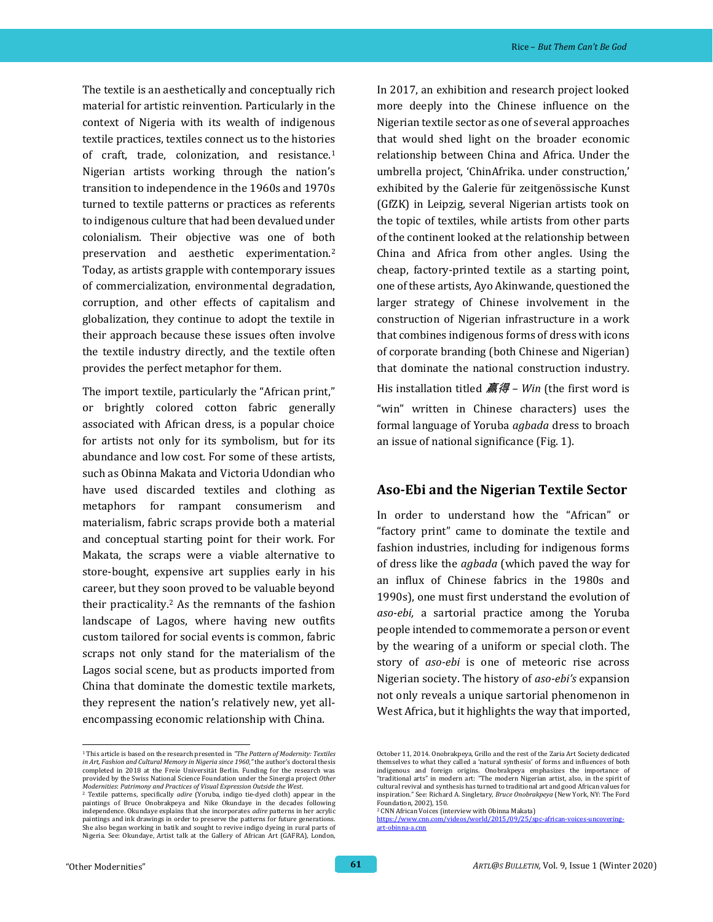The textile is an aesthetically and conceptually rich material for artistic reinvention. Particularly in the context of Nigeria with its wealth of indigenous textile practices, textiles connect us to the histories of craft, trade, colonization, and resistance.<sup>1</sup> Nigerian artists working through the nation's transition to independence in the 1960s and 1970s turned to textile patterns or practices as referents to indigenous culture that had been devalued under colonialism. Their objective was one of both preservation and aesthetic experimentation.<sup>2</sup> Today, as artists grapple with contemporary issues of commercialization, environmental degradation, corruption, and other effects of capitalism and globalization, they continue to adopt the textile in their approach because these issues often involve the textile industry directly, and the textile often provides the perfect metaphor for them.

The import textile, particularly the "African print," or brightly colored cotton fabric generally associated with African dress, is a popular choice for artists not only for its symbolism, but for its abundance and low cost. For some of these artists, such as Obinna Makata and Victoria Udondian who have used discarded textiles and clothing as metaphors for rampant consumerism and materialism, fabric scraps provide both a material and conceptual starting point for their work. For Makata, the scraps were a viable alternative to store-bought, expensive art supplies early in his career, but they soon proved to be valuable beyond their practicality.<sup>2</sup> As the remnants of the fashion landscape of Lagos, where having new outfits custom tailored for social events is common*,* fabric scraps not only stand for the materialism of the Lagos social scene, but as products imported from China that dominate the domestic textile markets, they represent the nation's relatively new, yet allencompassing economic relationship with China.

In 2017, an exhibition and research project looked more deeply into the Chinese influence on the Nigerian textile sector as one of several approaches that would shed light on the broader economic relationship between China and Africa. Under the umbrella project, 'ChinAfrika. under construction,' exhibited by the Galerie für zeitgenössische Kunst (GfZK) in Leipzig, several Nigerian artists took on the topic of textiles, while artists from other parts of the continent looked at the relationship between China and Africa from other angles. Using the cheap, factory-printed textile as a starting point, one of these artists, Ayo Akinwande, questioned the larger strategy of Chinese involvement in the construction of Nigerian infrastructure in a work that combines indigenous forms of dress with icons of corporate branding (both Chinese and Nigerian) that dominate the national construction industry. His installation titled 赢得 *– Win* (the first word is "win" written in Chinese characters) uses the formal language of Yoruba *agbada* dress to broach an issue of national significance (Fig. 1).

#### **Aso-Ebi and the Nigerian Textile Sector**

In order to understand how the "African" or "factory print" came to dominate the textile and fashion industries, including for indigenous forms of dress like the *agbada* (which paved the way for an influx of Chinese fabrics in the 1980s and 1990s), one must first understand the evolution of *aso-ebi,* a sartorial practice among the Yoruba people intended to commemorate a person or event by the wearing of a uniform or special cloth. The story of *aso-ebi* is one of meteoric rise across Nigerian society. The history of *aso-ebi's* expansion not only reveals a unique sartorial phenomenon in West Africa, but it highlights the way that imported,

<sup>1</sup> This article is based on the research presented in *"The Pattern of Modernity: Textiles in Art, Fashion and Cultural Memory in Nigeria since 1960,"* the author's doctoral thesis completed in 2018 at the Freie Universität Berlin. Funding for the research was provided by the Swiss National Science Foundation under the Sinergia project *Other Modernities*: *Patrimony and Practices of Visual Expression Outside the West*.

<sup>2</sup> Textile patterns, specifically *adire* (Yoruba, indigo tie-dyed cloth) appear in the paintings of Bruce Onobrakpeya and Nike Okundaye in the decades following independence. Okundaye explains that she incorporates *adire* patterns in her acrylic paintings and ink drawings in order to preserve the patterns for future generations. She also began working in batik and sought to revive indigo dyeing in rural parts of Nigeria. See: Okundaye, Artist talk at the Gallery of African Art (GAFRA), London,

October 11, 2014. Onobrakpeya, Grillo and the rest of the Zaria Art Society dedicated themselves to what they called a 'natural synthesis' of forms and influences of both indigenous and foreign origins. Onobrakpeya emphasizes the importance of "traditional arts" in modern art: "The modern Nigerian artist, also, in the spirit of cultural revival and synthesis has turned to traditional art and good African values for inspiration." See: Richard A. Singletary, *Bruce Onobrakpeya* (New York, NY: The Ford Foundation, 2002), 150.

<sup>2</sup> CNN African Voices (interview with Obinna Makata) https://www.cnn.com/videos/world/2015/09/25 [art-obinna-a.cnn](https://www.cnn.com/videos/world/2015/09/25/spc-african-voices-uncovering-art-obinna-a.cnn)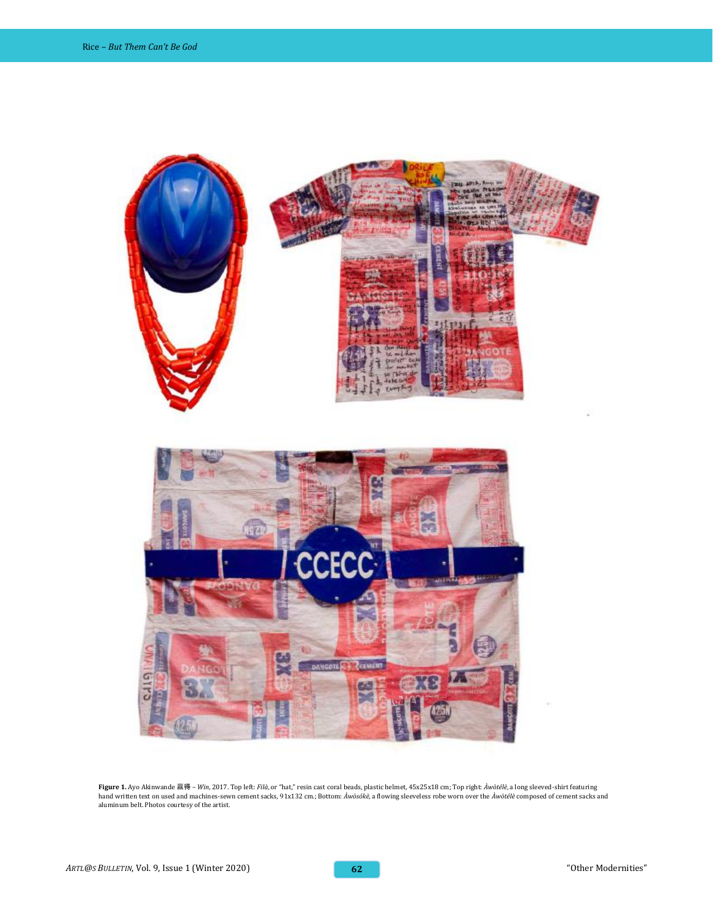

**Figure 1.** Ayo Akinwande 赢得 *– Win*, 2017. Top left: *Filà*, or "hat," resin cast coral beads, plastic helmet, 45x25x18 cm; Top right: *Àwòtélè*, a long sleeved-shirt featuring hand written text on used and machines-sewn cement sacks, 91x132 cm.; Bottom: *Àwòsókè,* a flowing sleeveless robe worn over the *Àwòtélè* composed of cement sacks and<br>aluminum belt. Photos courtesy of the artist.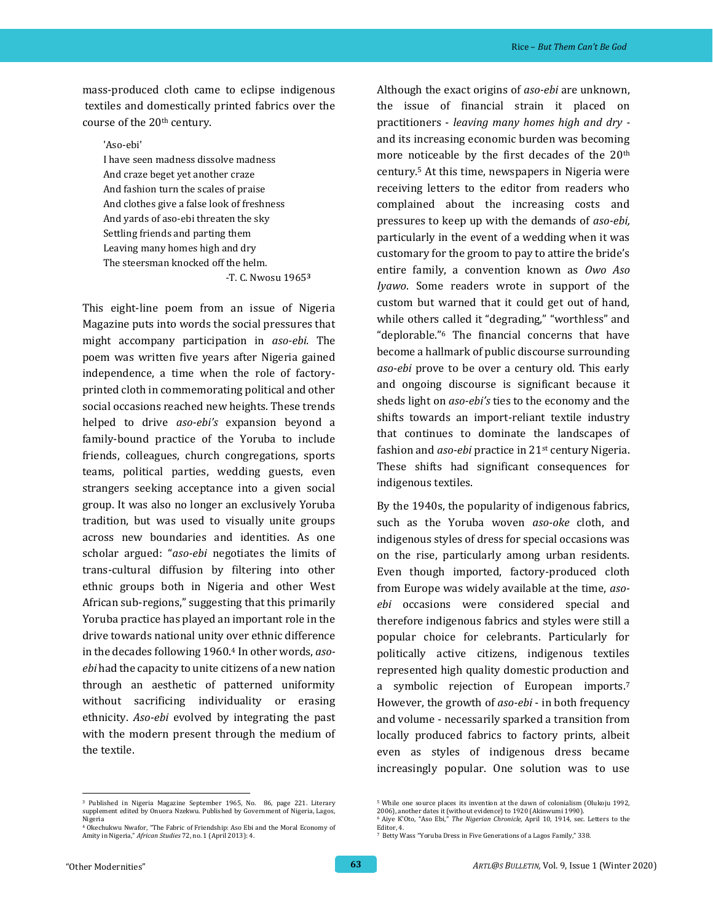mass-produced cloth came to eclipse indigenous textiles and domestically printed fabrics over the course of the 20th century.

'Aso-ebi' I have seen madness dissolve madness And craze beget yet another craze And fashion turn the scales of praise And clothes give a false look of freshness And yards of aso-ebi threaten the sky Settling friends and parting them Leaving many homes high and dry The steersman knocked off the helm.  *-*T. C. Nwosu 1965**<sup>3</sup>**

This eight-line poem from an issue of Nigeria Magazine puts into words the social pressures that might accompany participation in *aso-ebi.* The poem was written five years after Nigeria gained independence, a time when the role of factoryprinted cloth in commemorating political and other social occasions reached new heights. These trends helped to drive *aso-ebi's* expansion beyond a family-bound practice of the Yoruba to include friends, colleagues, church congregations, sports teams, political parties, wedding guests, even strangers seeking acceptance into a given social group. It was also no longer an exclusively Yoruba tradition, but was used to visually unite groups across new boundaries and identities. As one scholar argued: "*aso-ebi* negotiates the limits of trans-cultural diffusion by filtering into other ethnic groups both in Nigeria and other West African sub-regions," suggesting that this primarily Yoruba practice has played an important role in the drive towards national unity over ethnic difference in the decades following 1960.<sup>4</sup> In other words, *asoebi* had the capacity to unite citizens of a new nation through an aesthetic of patterned uniformity without sacrificing individuality or erasing ethnicity. *Aso-ebi* evolved by integrating the past with the modern present through the medium of the textile.

Although the exact origins of *aso-ebi* are unknown, the issue of financial strain it placed on practitioners - *leaving many homes high and dry*  and its increasing economic burden was becoming more noticeable by the first decades of the 20<sup>th</sup> century.<sup>5</sup> At this time, newspapers in Nigeria were receiving letters to the editor from readers who complained about the increasing costs and pressures to keep up with the demands of *aso-ebi,*  particularly in the event of a wedding when it was customary for the groom to pay to attire the bride's entire family, a convention known as *Owo Aso Iyawo*. Some readers wrote in support of the custom but warned that it could get out of hand, while others called it "degrading," "worthless" and "deplorable."<sup>6</sup> The financial concerns that have become a hallmark of public discourse surrounding *aso-ebi* prove to be over a century old. This early and ongoing discourse is significant because it sheds light on *aso-ebi's* ties to the economy and the shifts towards an import-reliant textile industry that continues to dominate the landscapes of fashion and *aso-ebi* practice in 21st century Nigeria. These shifts had significant consequences for indigenous textiles.

By the 1940s, the popularity of indigenous fabrics, such as the Yoruba woven *aso-oke* cloth, and indigenous styles of dress for special occasions was on the rise, particularly among urban residents. Even though imported, factory-produced cloth from Europe was widely available at the time, *asoebi* occasions were considered special and therefore indigenous fabrics and styles were still a popular choice for celebrants. Particularly for politically active citizens, indigenous textiles represented high quality domestic production and a symbolic rejection of European imports.<sup>7</sup> However, the growth of *aso-ebi* - in both frequency and volume - necessarily sparked a transition from locally produced fabrics to factory prints, albeit even as styles of indigenous dress became increasingly popular. One solution was to use

<sup>3</sup> Published in Nigeria Magazine September 1965, No. 86, page 221. Literary supplement edited by Onuora Nzekwu. Published by Government of Nigeria, Lagos, Nigeria

<sup>4</sup> Okechukwu Nwafor, "The Fabric of Friendship: Aso Ebi and the Moral Economy of Amity in Nigeria," *African Studies* 72, no. 1 (April 2013): 4.

<sup>5</sup> While one source places its invention at the dawn of colonialism (Olukoju 1992, 2006), another dates it (without evidence) to 1920 (Akinwumi 1990).

<sup>6</sup> Aiye K'Oto, "Aso Ebi," *The Nigerian Chronicle*, April 10, 1914, sec. Letters to the Editor, 4.

<sup>7</sup> Betty Wass "Yoruba Dress in Five Generations of a Lagos Family," 338.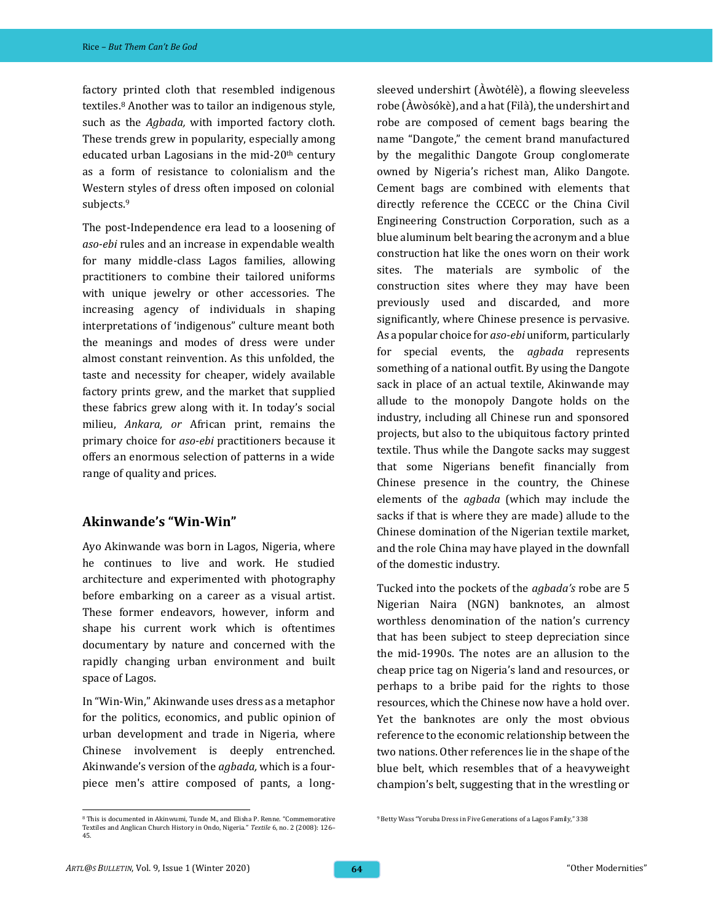factory printed cloth that resembled indigenous textiles.<sup>8</sup> Another was to tailor an indigenous style, such as the *Agbada,* with imported factory cloth. These trends grew in popularity, especially among educated urban Lagosians in the mid- $20<sup>th</sup>$  century as a form of resistance to colonialism and the Western styles of dress often imposed on colonial subjects.<sup>9</sup>

The post-Independence era lead to a loosening of *aso-ebi* rules and an increase in expendable wealth for many middle-class Lagos families, allowing practitioners to combine their tailored uniforms with unique jewelry or other accessories. The increasing agency of individuals in shaping interpretations of 'indigenous" culture meant both the meanings and modes of dress were under almost constant reinvention. As this unfolded, the taste and necessity for cheaper, widely available factory prints grew, and the market that supplied these fabrics grew along with it. In today's social milieu, *Ankara, or* African print, remains the primary choice for *aso-ebi* practitioners because it offers an enormous selection of patterns in a wide range of quality and prices.

#### **Akinwande's "Win-Win"**

Ayo Akinwande was born in Lagos, Nigeria, where he continues to live and work. He studied architecture and experimented with photography before embarking on a career as a visual artist. These former endeavors, however, inform and shape his current work which is oftentimes documentary by nature and concerned with the rapidly changing urban environment and built space of Lagos.

In "Win-Win," Akinwande uses dress as a metaphor for the politics, economics, and public opinion of urban development and trade in Nigeria, where Chinese involvement is deeply entrenched. Akinwande's version of the *agbada,* which is a fourpiece men's attire composed of pants, a long-

sleeved undershirt (Àwòtélè), a flowing sleeveless robe (Àwòsókè), and a hat (Filà), the undershirt and robe are composed of cement bags bearing the name "Dangote," the cement brand manufactured by the megalithic Dangote Group conglomerate owned by Nigeria's richest man, Aliko Dangote. Cement bags are combined with elements that directly reference the CCECC or the China Civil Engineering Construction Corporation, such as a blue aluminum belt bearing the acronym and a blue construction hat like the ones worn on their work sites. The materials are symbolic of the construction sites where they may have been previously used and discarded, and more significantly, where Chinese presence is pervasive. As a popular choice for *aso-ebi* uniform, particularly for special events, the *agbada* represents something of a national outfit. By using the Dangote sack in place of an actual textile, Akinwande may allude to the monopoly Dangote holds on the industry, including all Chinese run and sponsored projects, but also to the ubiquitous factory printed textile. Thus while the Dangote sacks may suggest that some Nigerians benefit financially from Chinese presence in the country, the Chinese elements of the *agbada* (which may include the sacks if that is where they are made) allude to the Chinese domination of the Nigerian textile market, and the role China may have played in the downfall of the domestic industry.

Tucked into the pockets of the *agbada's* robe are 5 Nigerian Naira (NGN) banknotes, an almost worthless denomination of the nation's currency that has been subject to steep depreciation since the mid-1990s. The notes are an allusion to the cheap price tag on Nigeria's land and resources, or perhaps to a bribe paid for the rights to those resources, which the Chinese now have a hold over. Yet the banknotes are only the most obvious reference to the economic relationship between the two nations. Other references lie in the shape of the blue belt, which resembles that of a heavyweight champion's belt, suggesting that in the wrestling or

<sup>8</sup> This is documented in Akinwumi, Tunde M., and Elisha P. Renne. "Commemorative Textiles and Anglican Church History in Ondo, Nigeria." *Textile* 6, no. 2 (2008): 126– 45.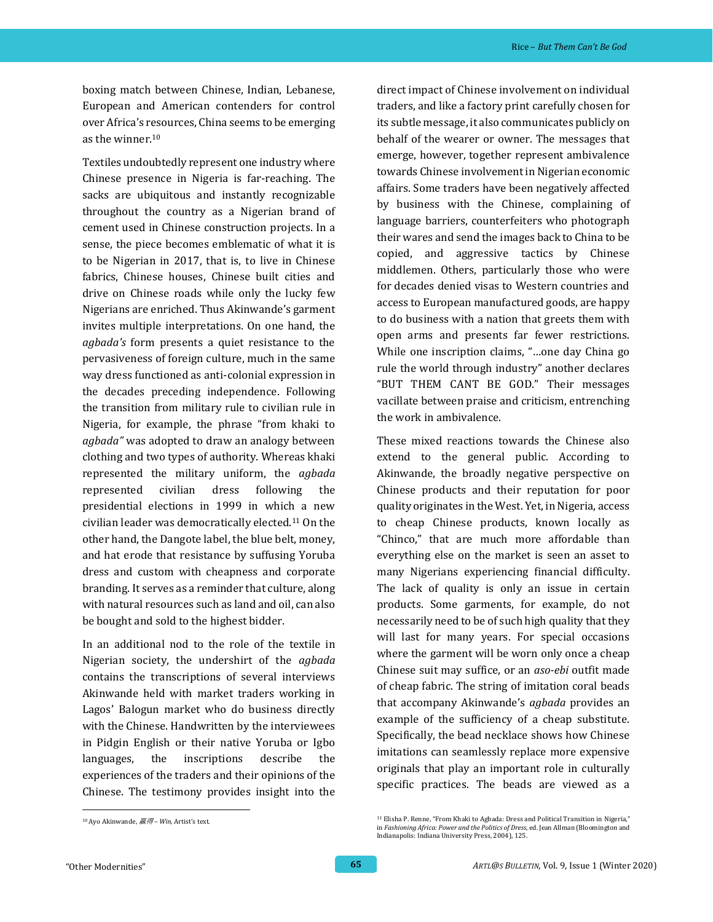boxing match between Chinese, Indian, Lebanese, European and American contenders for control over Africa's resources, China seems to be emerging as the winner.<sup>10</sup>

Textiles undoubtedly represent one industry where Chinese presence in Nigeria is far-reaching. The sacks are ubiquitous and instantly recognizable throughout the country as a Nigerian brand of cement used in Chinese construction projects. In a sense, the piece becomes emblematic of what it is to be Nigerian in 2017, that is, to live in Chinese fabrics, Chinese houses, Chinese built cities and drive on Chinese roads while only the lucky few Nigerians are enriched. Thus Akinwande's garment invites multiple interpretations. On one hand, the *agbada's* form presents a quiet resistance to the pervasiveness of foreign culture, much in the same way dress functioned as anti-colonial expression in the decades preceding independence. Following the transition from military rule to civilian rule in Nigeria, for example, the phrase "from khaki to *agbada"* was adopted to draw an analogy between clothing and two types of authority. Whereas khaki represented the military uniform, the *agbada*  represented civilian dress following the presidential elections in 1999 in which a new civilian leader was democratically elected.<sup>11</sup> On the other hand, the Dangote label, the blue belt, money, and hat erode that resistance by suffusing Yoruba dress and custom with cheapness and corporate branding. It serves as a reminder that culture, along with natural resources such as land and oil, can also be bought and sold to the highest bidder.

In an additional nod to the role of the textile in Nigerian society, the undershirt of the *agbada* contains the transcriptions of several interviews Akinwande held with market traders working in Lagos' Balogun market who do business directly with the Chinese. Handwritten by the interviewees in Pidgin English or their native Yoruba or Igbo languages, the inscriptions describe the experiences of the traders and their opinions of the Chinese. The testimony provides insight into the

These mixed reactions towards the Chinese also extend to the general public. According to Akinwande, the broadly negative perspective on Chinese products and their reputation for poor quality originates in the West. Yet, in Nigeria, access to cheap Chinese products, known locally as "Chinco," that are much more affordable than everything else on the market is seen an asset to many Nigerians experiencing financial difficulty. The lack of quality is only an issue in certain products. Some garments, for example, do not necessarily need to be of such high quality that they will last for many years. For special occasions where the garment will be worn only once a cheap Chinese suit may suffice, or an *aso-ebi* outfit made of cheap fabric. The string of imitation coral beads that accompany Akinwande's *agbada* provides an example of the sufficiency of a cheap substitute. Specifically, the bead necklace shows how Chinese imitations can seamlessly replace more expensive originals that play an important role in culturally specific practices. The beads are viewed as a

direct impact of Chinese involvement on individual traders, and like a factory print carefully chosen for its subtle message, it also communicates publicly on behalf of the wearer or owner. The messages that emerge, however, together represent ambivalence towards Chinese involvement in Nigerian economic affairs. Some traders have been negatively affected by business with the Chinese, complaining of language barriers, counterfeiters who photograph their wares and send the images back to China to be copied, and aggressive tactics by Chinese middlemen. Others, particularly those who were for decades denied visas to Western countries and access to European manufactured goods, are happy to do business with a nation that greets them with open arms and presents far fewer restrictions. While one inscription claims, "…one day China go rule the world through industry" another declares "BUT THEM CANT BE GOD." Their messages vacillate between praise and criticism, entrenching the work in ambivalence.

<sup>10</sup> Ayo Akinwande, 赢得 *– Win*, Artist's text.

<sup>11</sup> Elisha P. Renne, "From Khaki to Agbada: Dress and Political Transition in Nigeria," in *Fashioning Africa: Power and the Politics of Dress*, ed. Jean Allman (Bloomington and Indianapolis: Indiana University Press, 2004), 125.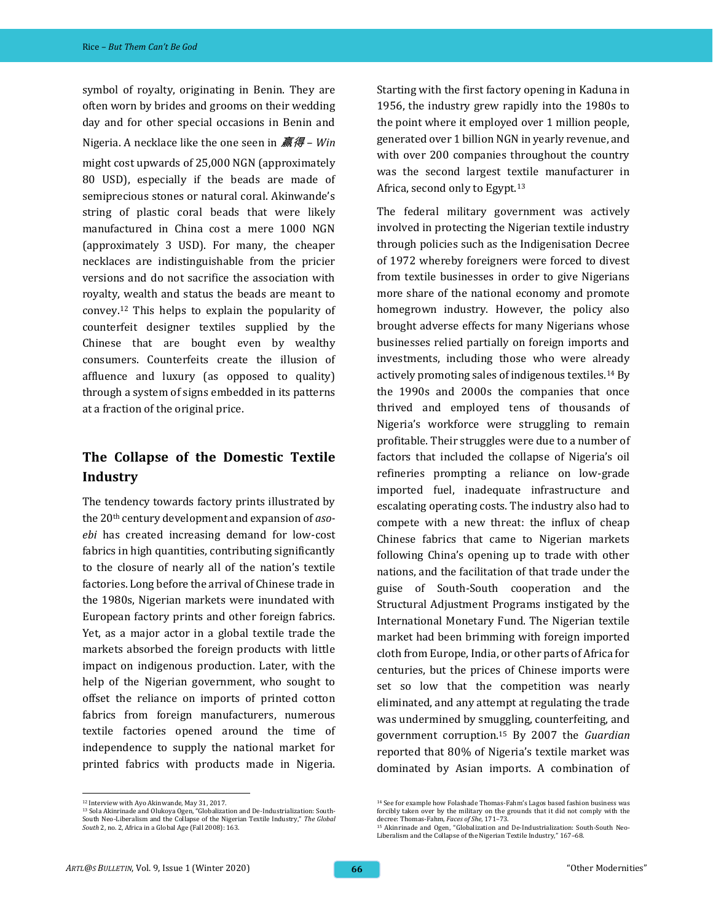symbol of royalty, originating in Benin. They are often worn by brides and grooms on their wedding day and for other special occasions in Benin and Nigeria. A necklace like the one seen in 赢得 *– Win*  might cost upwards of 25,000 NGN (approximately 80 USD), especially if the beads are made of semiprecious stones or natural coral. Akinwande's string of plastic coral beads that were likely manufactured in China cost a mere 1000 NGN (approximately 3 USD). For many, the cheaper necklaces are indistinguishable from the pricier versions and do not sacrifice the association with royalty, wealth and status the beads are meant to convey.<sup>12</sup> This helps to explain the popularity of counterfeit designer textiles supplied by the Chinese that are bought even by wealthy consumers. Counterfeits create the illusion of affluence and luxury (as opposed to quality) through a system of signs embedded in its patterns at a fraction of the original price.

#### **The Collapse of the Domestic Textile Industry**

The tendency towards factory prints illustrated by the 20th century development and expansion of *asoebi* has created increasing demand for low-cost fabrics in high quantities, contributing significantly to the closure of nearly all of the nation's textile factories. Long before the arrival of Chinese trade in the 1980s, Nigerian markets were inundated with European factory prints and other foreign fabrics. Yet, as a major actor in a global textile trade the markets absorbed the foreign products with little impact on indigenous production. Later, with the help of the Nigerian government, who sought to offset the reliance on imports of printed cotton fabrics from foreign manufacturers, numerous textile factories opened around the time of independence to supply the national market for printed fabrics with products made in Nigeria.

Starting with the first factory opening in Kaduna in 1956, the industry grew rapidly into the 1980s to the point where it employed over 1 million people, generated over 1 billion NGN in yearly revenue, and with over 200 companies throughout the country was the second largest textile manufacturer in Africa, second only to Egypt.<sup>13</sup>

The federal military government was actively involved in protecting the Nigerian textile industry through policies such as the Indigenisation Decree of 1972 whereby foreigners were forced to divest from textile businesses in order to give Nigerians more share of the national economy and promote homegrown industry. However, the policy also brought adverse effects for many Nigerians whose businesses relied partially on foreign imports and investments, including those who were already actively promoting sales of indigenous textiles.<sup>14</sup> By the 1990s and 2000s the companies that once thrived and employed tens of thousands of Nigeria's workforce were struggling to remain profitable. Their struggles were due to a number of factors that included the collapse of Nigeria's oil refineries prompting a reliance on low-grade imported fuel, inadequate infrastructure and escalating operating costs. The industry also had to compete with a new threat: the influx of cheap Chinese fabrics that came to Nigerian markets following China's opening up to trade with other nations, and the facilitation of that trade under the guise of South-South cooperation and the Structural Adjustment Programs instigated by the International Monetary Fund. The Nigerian textile market had been brimming with foreign imported cloth from Europe, India, or other parts of Africa for centuries, but the prices of Chinese imports were set so low that the competition was nearly eliminated, and any attempt at regulating the trade was undermined by smuggling, counterfeiting, and government corruption.<sup>15</sup> By 2007 the *Guardian* reported that 80% of Nigeria's textile market was dominated by Asian imports. A combination of

<sup>12</sup> Interview with Ayo Akinwande, May 31, 2017.

<sup>13</sup> Sola Akinrinade and Olukoya Ogen, "Globalization and De-Industrialization: South-South Neo-Liberalism and the Collapse of the Nigerian Textile Industry," *The Global South* 2, no. 2, Africa in a Global Age (Fall 2008): 163.

<sup>14</sup> See for example how Folashade Thomas-Fahm's Lagos based fashion business was forcibly taken over by the military on the grounds that it did not comply with the decree: Thomas-Fahm, *Faces of She*, 171–73.

<sup>15</sup> Akinrinade and Ogen, "Globalization and De-Industrialization: South-South Neo-Liberalism and the Collapse of the Nigerian Textile Industry," 167–68.